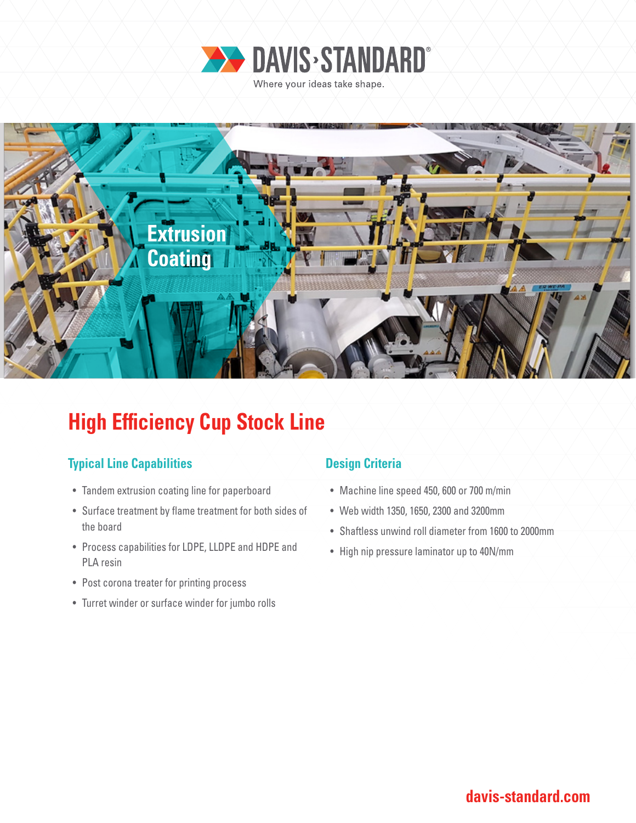



# **High Efficiency Cup Stock Line**

### **Typical Line Capabilities Design Criteria**

- Tandem extrusion coating line for paperboard
- Surface treatment by flame treatment for both sides of the board
- Process capabilities for LDPE, LLDPE and HDPE and PLA resin
- Post corona treater for printing process
- Turret winder or surface winder for jumbo rolls

- Machine line speed 450, 600 or 700 m/min
- Web width 1350, 1650, 2300 and 3200mm
- Shaftless unwind roll diameter from 1600 to 2000mm
- High nip pressure laminator up to 40N/mm

## **davis-standard.com**